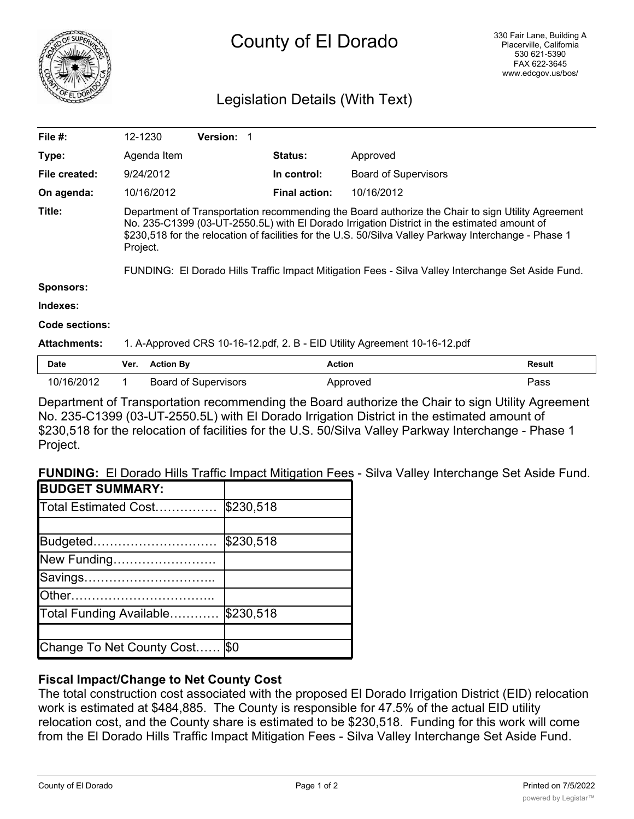

# County of El Dorado

# Legislation Details (With Text)

| File $#$ :          |                                                                                                                                                                                                                                                                                                                                                                                                                             | 12-1230          | Version: 1                  |                      |                             |        |
|---------------------|-----------------------------------------------------------------------------------------------------------------------------------------------------------------------------------------------------------------------------------------------------------------------------------------------------------------------------------------------------------------------------------------------------------------------------|------------------|-----------------------------|----------------------|-----------------------------|--------|
| Type:               |                                                                                                                                                                                                                                                                                                                                                                                                                             | Agenda Item      |                             | <b>Status:</b>       | Approved                    |        |
| File created:       |                                                                                                                                                                                                                                                                                                                                                                                                                             | 9/24/2012        |                             | In control:          | <b>Board of Supervisors</b> |        |
| On agenda:          |                                                                                                                                                                                                                                                                                                                                                                                                                             | 10/16/2012       |                             | <b>Final action:</b> | 10/16/2012                  |        |
| Title:              | Department of Transportation recommending the Board authorize the Chair to sign Utility Agreement<br>No. 235-C1399 (03-UT-2550.5L) with El Dorado Irrigation District in the estimated amount of<br>\$230,518 for the relocation of facilities for the U.S. 50/Silva Valley Parkway Interchange - Phase 1<br>Project.<br>FUNDING: El Dorado Hills Traffic Impact Mitigation Fees - Silva Valley Interchange Set Aside Fund. |                  |                             |                      |                             |        |
| <b>Sponsors:</b>    |                                                                                                                                                                                                                                                                                                                                                                                                                             |                  |                             |                      |                             |        |
| Indexes:            |                                                                                                                                                                                                                                                                                                                                                                                                                             |                  |                             |                      |                             |        |
| Code sections:      |                                                                                                                                                                                                                                                                                                                                                                                                                             |                  |                             |                      |                             |        |
| <b>Attachments:</b> | 1. A-Approved CRS 10-16-12.pdf, 2. B - EID Utility Agreement 10-16-12.pdf                                                                                                                                                                                                                                                                                                                                                   |                  |                             |                      |                             |        |
| <b>Date</b>         | Ver.                                                                                                                                                                                                                                                                                                                                                                                                                        | <b>Action By</b> |                             | Action               |                             | Result |
| 10/16/2012          | 1.                                                                                                                                                                                                                                                                                                                                                                                                                          |                  | <b>Board of Supervisors</b> |                      | Approved                    | Pass   |

Department of Transportation recommending the Board authorize the Chair to sign Utility Agreement No. 235-C1399 (03-UT-2550.5L) with El Dorado Irrigation District in the estimated amount of \$230,518 for the relocation of facilities for the U.S. 50/Silva Valley Parkway Interchange - Phase 1 Project.

**FUNDING:** El Dorado Hills Traffic Impact Mitigation Fees - Silva Valley Interchange Set Aside Fund.

| <b>IBUDGET SUMMARY:</b>   |           |
|---------------------------|-----------|
| Total Estimated Cost      | \$230,518 |
|                           |           |
| Budgeted                  | \$230,518 |
| New Funding               |           |
| Savings                   |           |
|                           |           |
| Total Funding Available   | \$230,518 |
|                           |           |
| Change To Net County Cost | \$0       |

## **Fiscal Impact/Change to Net County Cost**

The total construction cost associated with the proposed El Dorado Irrigation District (EID) relocation work is estimated at \$484,885. The County is responsible for 47.5% of the actual EID utility relocation cost, and the County share is estimated to be \$230,518. Funding for this work will come from the El Dorado Hills Traffic Impact Mitigation Fees - Silva Valley Interchange Set Aside Fund.